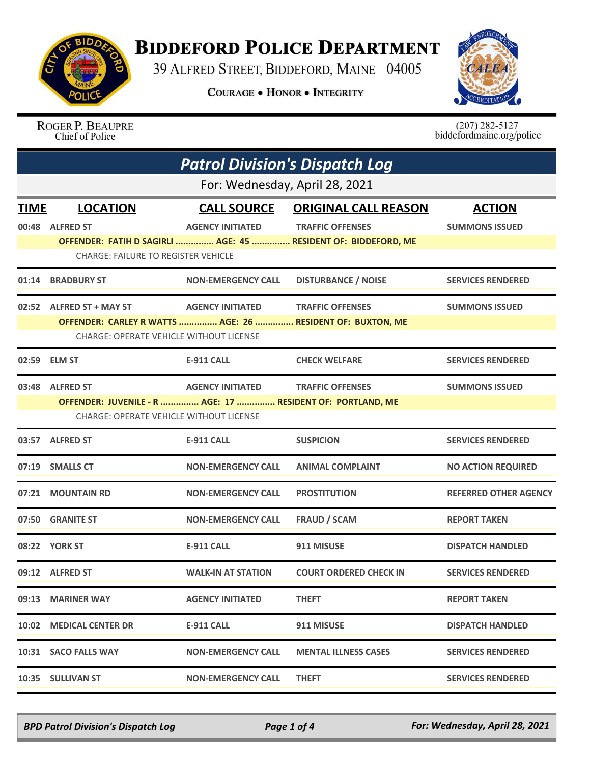

## **BIDDEFORD POLICE DEPARTMENT**

39 ALFRED STREET, BIDDEFORD, MAINE 04005

**COURAGE . HONOR . INTEGRITY** 



ROGER P. BEAUPRE<br>Chief of Police

 $(207)$  282-5127<br>biddefordmaine.org/police

| <b>Patrol Division's Dispatch Log</b><br>For: Wednesday, April 28, 2021 |                                                                               |                           |                                                                |                              |  |  |  |
|-------------------------------------------------------------------------|-------------------------------------------------------------------------------|---------------------------|----------------------------------------------------------------|------------------------------|--|--|--|
|                                                                         |                                                                               |                           |                                                                |                              |  |  |  |
|                                                                         | 00:48 ALFRED ST                                                               | <b>AGENCY INITIATED</b>   | <b>TRAFFIC OFFENSES</b>                                        | <b>SUMMONS ISSUED</b>        |  |  |  |
|                                                                         | <b>CHARGE: FAILURE TO REGISTER VEHICLE</b>                                    |                           | OFFENDER: FATIH D SAGIRLI  AGE: 45  RESIDENT OF: BIDDEFORD, ME |                              |  |  |  |
| 01:14                                                                   | <b>BRADBURY ST</b>                                                            | <b>NON-EMERGENCY CALL</b> | <b>DISTURBANCE / NOISE</b>                                     | <b>SERVICES RENDERED</b>     |  |  |  |
|                                                                         | 02:52 ALFRED ST + MAY ST                                                      | <b>AGENCY INITIATED</b>   | <b>TRAFFIC OFFENSES</b>                                        | <b>SUMMONS ISSUED</b>        |  |  |  |
|                                                                         | <b>CHARGE: OPERATE VEHICLE WITHOUT LICENSE</b>                                |                           | OFFENDER: CARLEY R WATTS  AGE: 26  RESIDENT OF: BUXTON, ME     |                              |  |  |  |
| 02:59                                                                   | <b>ELM ST</b>                                                                 | <b>E-911 CALL</b>         | <b>CHECK WELFARE</b>                                           | <b>SERVICES RENDERED</b>     |  |  |  |
|                                                                         | 03:48 ALFRED ST<br>OFFENDER: JUVENILE - R  AGE: 17  RESIDENT OF: PORTLAND, ME | <b>AGENCY INITIATED</b>   | <b>TRAFFIC OFFENSES</b>                                        | <b>SUMMONS ISSUED</b>        |  |  |  |
|                                                                         | <b>CHARGE: OPERATE VEHICLE WITHOUT LICENSE</b>                                |                           |                                                                |                              |  |  |  |
|                                                                         | 03:57 ALFRED ST                                                               | <b>E-911 CALL</b>         | <b>SUSPICION</b>                                               | <b>SERVICES RENDERED</b>     |  |  |  |
|                                                                         | 07:19 SMALLS CT                                                               | <b>NON-EMERGENCY CALL</b> | <b>ANIMAL COMPLAINT</b>                                        | <b>NO ACTION REQUIRED</b>    |  |  |  |
|                                                                         | 07:21 MOUNTAIN RD                                                             | <b>NON-EMERGENCY CALL</b> | <b>PROSTITUTION</b>                                            | <b>REFERRED OTHER AGENCY</b> |  |  |  |
| 07:50                                                                   | <b>GRANITE ST</b>                                                             | <b>NON-EMERGENCY CALL</b> | <b>FRAUD / SCAM</b>                                            | <b>REPORT TAKEN</b>          |  |  |  |
|                                                                         | 08:22 YORK ST                                                                 | E-911 CALL                | 911 MISUSE                                                     | <b>DISPATCH HANDLED</b>      |  |  |  |
|                                                                         | 09:12 ALFRED ST                                                               | <b>WALK-IN AT STATION</b> | <b>COURT ORDERED CHECK IN</b>                                  | <b>SERVICES RENDERED</b>     |  |  |  |
|                                                                         | 09:13 MARINER WAY                                                             | <b>AGENCY INITIATED</b>   | <b>THEFT</b>                                                   | <b>REPORT TAKEN</b>          |  |  |  |
|                                                                         | 10:02 MEDICAL CENTER DR                                                       | E-911 CALL                | 911 MISUSE                                                     | <b>DISPATCH HANDLED</b>      |  |  |  |
|                                                                         | 10:31 SACO FALLS WAY                                                          | <b>NON-EMERGENCY CALL</b> | <b>MENTAL ILLNESS CASES</b>                                    | <b>SERVICES RENDERED</b>     |  |  |  |
|                                                                         | 10:35 SULLIVAN ST                                                             | <b>NON-EMERGENCY CALL</b> | <b>THEFT</b>                                                   | <b>SERVICES RENDERED</b>     |  |  |  |

*BPD Patrol Division's Dispatch Log Page 1 of 4 For: Wednesday, April 28, 2021*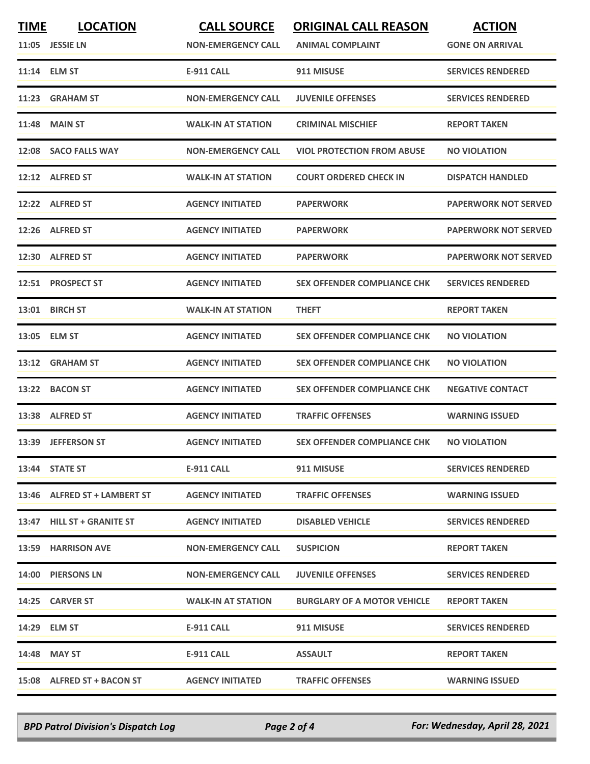| <b>TIME</b> | <b>LOCATION</b><br>11:05 JESSIE LN | <b>CALL SOURCE</b><br><b>NON-EMERGENCY CALL</b> | <b>ORIGINAL CALL REASON</b><br><b>ANIMAL COMPLAINT</b> | <b>ACTION</b><br><b>GONE ON ARRIVAL</b> |
|-------------|------------------------------------|-------------------------------------------------|--------------------------------------------------------|-----------------------------------------|
|             | 11:14 ELM ST                       | <b>E-911 CALL</b>                               | 911 MISUSE                                             | <b>SERVICES RENDERED</b>                |
| 11:23       | <b>GRAHAM ST</b>                   | <b>NON-EMERGENCY CALL</b>                       | <b>JUVENILE OFFENSES</b>                               | <b>SERVICES RENDERED</b>                |
|             | <b>11:48 MAIN ST</b>               | <b>WALK-IN AT STATION</b>                       | <b>CRIMINAL MISCHIEF</b>                               | <b>REPORT TAKEN</b>                     |
|             | 12:08 SACO FALLS WAY               | <b>NON-EMERGENCY CALL</b>                       | <b>VIOL PROTECTION FROM ABUSE</b>                      | <b>NO VIOLATION</b>                     |
|             | 12:12 ALFRED ST                    | <b>WALK-IN AT STATION</b>                       | <b>COURT ORDERED CHECK IN</b>                          | <b>DISPATCH HANDLED</b>                 |
|             | 12:22 ALFRED ST                    | <b>AGENCY INITIATED</b>                         | <b>PAPERWORK</b>                                       | <b>PAPERWORK NOT SERVED</b>             |
|             | 12:26 ALFRED ST                    | <b>AGENCY INITIATED</b>                         | <b>PAPERWORK</b>                                       | <b>PAPERWORK NOT SERVED</b>             |
|             | 12:30 ALFRED ST                    | <b>AGENCY INITIATED</b>                         | <b>PAPERWORK</b>                                       | <b>PAPERWORK NOT SERVED</b>             |
|             | 12:51 PROSPECT ST                  | <b>AGENCY INITIATED</b>                         | <b>SEX OFFENDER COMPLIANCE CHK</b>                     | <b>SERVICES RENDERED</b>                |
|             | 13:01 BIRCH ST                     | <b>WALK-IN AT STATION</b>                       | <b>THEFT</b>                                           | <b>REPORT TAKEN</b>                     |
|             | 13:05 ELM ST                       | <b>AGENCY INITIATED</b>                         | <b>SEX OFFENDER COMPLIANCE CHK</b>                     | <b>NO VIOLATION</b>                     |
|             | 13:12 GRAHAM ST                    | <b>AGENCY INITIATED</b>                         | <b>SEX OFFENDER COMPLIANCE CHK</b>                     | <b>NO VIOLATION</b>                     |
| 13:22       | <b>BACON ST</b>                    | <b>AGENCY INITIATED</b>                         | <b>SEX OFFENDER COMPLIANCE CHK</b>                     | <b>NEGATIVE CONTACT</b>                 |
|             | 13:38 ALFRED ST                    | <b>AGENCY INITIATED</b>                         | <b>TRAFFIC OFFENSES</b>                                | <b>WARNING ISSUED</b>                   |
|             | 13:39 JEFFERSON ST                 | <b>AGENCY INITIATED</b>                         | <b>SEX OFFENDER COMPLIANCE CHK</b>                     | <b>NO VIOLATION</b>                     |
|             | 13:44 STATE ST                     | E-911 CALL                                      | 911 MISUSE                                             | <b>SERVICES RENDERED</b>                |
|             | 13:46 ALFRED ST + LAMBERT ST       | <b>AGENCY INITIATED</b>                         | <b>TRAFFIC OFFENSES</b>                                | <b>WARNING ISSUED</b>                   |
|             | 13:47 HILL ST + GRANITE ST         | <b>AGENCY INITIATED</b>                         | <b>DISABLED VEHICLE</b>                                | <b>SERVICES RENDERED</b>                |
|             | 13:59 HARRISON AVE                 | <b>NON-EMERGENCY CALL</b>                       | <b>SUSPICION</b>                                       | <b>REPORT TAKEN</b>                     |
|             | 14:00 PIERSONS LN                  | <b>NON-EMERGENCY CALL</b>                       | <b>JUVENILE OFFENSES</b>                               | <b>SERVICES RENDERED</b>                |
|             | 14:25 CARVER ST                    | <b>WALK-IN AT STATION</b>                       | <b>BURGLARY OF A MOTOR VEHICLE</b>                     | <b>REPORT TAKEN</b>                     |
|             | 14:29 ELM ST                       | E-911 CALL                                      | 911 MISUSE                                             | <b>SERVICES RENDERED</b>                |
|             | 14:48 MAY ST                       | E-911 CALL                                      | <b>ASSAULT</b>                                         | <b>REPORT TAKEN</b>                     |
|             | 15:08 ALFRED ST + BACON ST         | <b>AGENCY INITIATED</b>                         | <b>TRAFFIC OFFENSES</b>                                | <b>WARNING ISSUED</b>                   |

*BPD Patrol Division's Dispatch Log Page 2 of 4 For: Wednesday, April 28, 2021*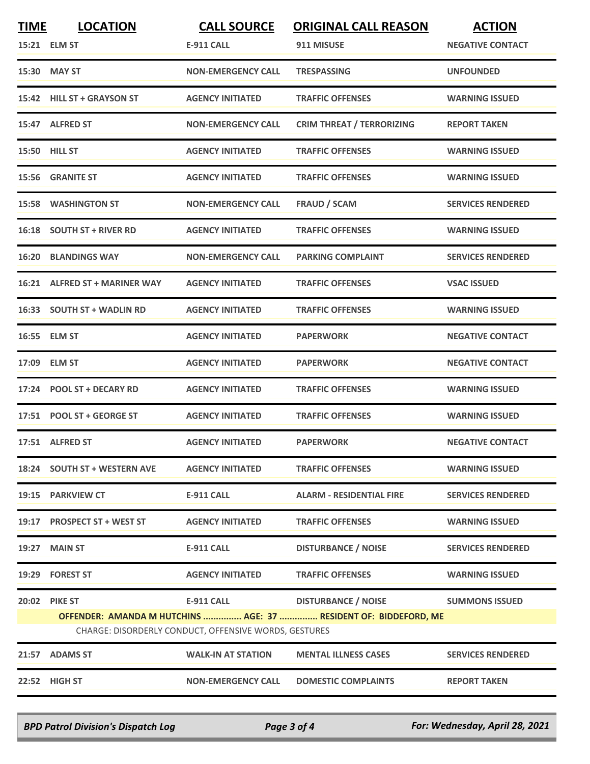| <b>TIME</b>                                                                                                               | <b>LOCATION</b>               | <b>CALL SOURCE</b>        | <b>ORIGINAL CALL REASON</b>      | <b>ACTION</b>            |  |  |
|---------------------------------------------------------------------------------------------------------------------------|-------------------------------|---------------------------|----------------------------------|--------------------------|--|--|
|                                                                                                                           | 15:21 ELM ST                  | E-911 CALL                | 911 MISUSE                       | <b>NEGATIVE CONTACT</b>  |  |  |
|                                                                                                                           | 15:30 MAY ST                  | <b>NON-EMERGENCY CALL</b> | <b>TRESPASSING</b>               | <b>UNFOUNDED</b>         |  |  |
|                                                                                                                           | 15:42 HILL ST + GRAYSON ST    | <b>AGENCY INITIATED</b>   | <b>TRAFFIC OFFENSES</b>          | <b>WARNING ISSUED</b>    |  |  |
|                                                                                                                           | 15:47 ALFRED ST               | <b>NON-EMERGENCY CALL</b> | <b>CRIM THREAT / TERRORIZING</b> | <b>REPORT TAKEN</b>      |  |  |
| 15:50 HILL ST                                                                                                             |                               | <b>AGENCY INITIATED</b>   | <b>TRAFFIC OFFENSES</b>          | <b>WARNING ISSUED</b>    |  |  |
|                                                                                                                           | 15:56 GRANITE ST              | <b>AGENCY INITIATED</b>   | <b>TRAFFIC OFFENSES</b>          | <b>WARNING ISSUED</b>    |  |  |
|                                                                                                                           | <b>15:58 WASHINGTON ST</b>    | <b>NON-EMERGENCY CALL</b> | <b>FRAUD / SCAM</b>              | <b>SERVICES RENDERED</b> |  |  |
|                                                                                                                           | 16:18 SOUTH ST + RIVER RD     | <b>AGENCY INITIATED</b>   | <b>TRAFFIC OFFENSES</b>          | <b>WARNING ISSUED</b>    |  |  |
| 16:20                                                                                                                     | <b>BLANDINGS WAY</b>          | <b>NON-EMERGENCY CALL</b> | <b>PARKING COMPLAINT</b>         | <b>SERVICES RENDERED</b> |  |  |
|                                                                                                                           | 16:21 ALFRED ST + MARINER WAY | <b>AGENCY INITIATED</b>   | <b>TRAFFIC OFFENSES</b>          | <b>VSAC ISSUED</b>       |  |  |
|                                                                                                                           | 16:33 SOUTH ST + WADLIN RD    | <b>AGENCY INITIATED</b>   | <b>TRAFFIC OFFENSES</b>          | <b>WARNING ISSUED</b>    |  |  |
|                                                                                                                           | 16:55 ELM ST                  | <b>AGENCY INITIATED</b>   | <b>PAPERWORK</b>                 | <b>NEGATIVE CONTACT</b>  |  |  |
|                                                                                                                           | 17:09 ELM ST                  | <b>AGENCY INITIATED</b>   | <b>PAPERWORK</b>                 | <b>NEGATIVE CONTACT</b>  |  |  |
| 17:24                                                                                                                     | <b>POOL ST + DECARY RD</b>    | <b>AGENCY INITIATED</b>   | <b>TRAFFIC OFFENSES</b>          | <b>WARNING ISSUED</b>    |  |  |
|                                                                                                                           | 17:51 POOL ST + GEORGE ST     | <b>AGENCY INITIATED</b>   | <b>TRAFFIC OFFENSES</b>          | <b>WARNING ISSUED</b>    |  |  |
|                                                                                                                           | 17:51 ALFRED ST               | <b>AGENCY INITIATED</b>   | <b>PAPERWORK</b>                 | <b>NEGATIVE CONTACT</b>  |  |  |
|                                                                                                                           | 18:24 SOUTH ST + WESTERN AVE  | <b>AGENCY INITIATED</b>   | <b>TRAFFIC OFFENSES</b>          | <b>WARNING ISSUED</b>    |  |  |
|                                                                                                                           | 19:15 PARKVIEW CT             | E-911 CALL                | <b>ALARM - RESIDENTIAL FIRE</b>  | <b>SERVICES RENDERED</b> |  |  |
|                                                                                                                           | 19:17 PROSPECT ST + WEST ST   | <b>AGENCY INITIATED</b>   | <b>TRAFFIC OFFENSES</b>          | <b>WARNING ISSUED</b>    |  |  |
|                                                                                                                           | 19:27 MAIN ST                 | <b>E-911 CALL</b>         | <b>DISTURBANCE / NOISE</b>       | <b>SERVICES RENDERED</b> |  |  |
|                                                                                                                           | 19:29 FOREST ST               | <b>AGENCY INITIATED</b>   | <b>TRAFFIC OFFENSES</b>          | <b>WARNING ISSUED</b>    |  |  |
|                                                                                                                           | 20:02 PIKE ST                 | $E-911$ CALL              | <b>DISTURBANCE / NOISE</b>       | <b>SUMMONS ISSUED</b>    |  |  |
| OFFENDER: AMANDA M HUTCHINS  AGE: 37  RESIDENT OF: BIDDEFORD, ME<br>CHARGE: DISORDERLY CONDUCT, OFFENSIVE WORDS, GESTURES |                               |                           |                                  |                          |  |  |
|                                                                                                                           | 21:57 ADAMS ST                | <b>WALK-IN AT STATION</b> | <b>MENTAL ILLNESS CASES</b>      | <b>SERVICES RENDERED</b> |  |  |
|                                                                                                                           |                               |                           |                                  |                          |  |  |
|                                                                                                                           | 22:52 HIGH ST                 | <b>NON-EMERGENCY CALL</b> | <b>DOMESTIC COMPLAINTS</b>       | <b>REPORT TAKEN</b>      |  |  |

*BPD Patrol Division's Dispatch Log Page 3 of 4 For: Wednesday, April 28, 2021*